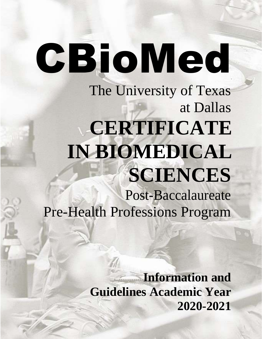# CBioMed The University of Texas at Dallas **CERTIFICATE IN BIOMEDICAL SCIENCES** Post-Baccalaureate Pre-Health Professions Program

**Information and Guidelines Academic Year 2020-2021**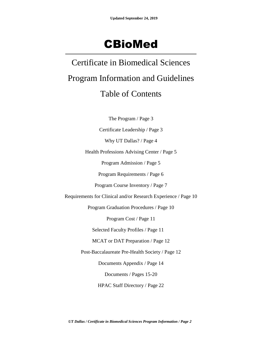## CBioMed

Certificate in Biomedical Sciences Program Information and Guidelines Table of Contents

The Program / Page 3

Certificate Leadership / Page 3

Why UT Dallas? / Page 4

Health Professions Advising Center / Page 5

Program Admission / Page 5

Program Requirements / Page 6

Program Course Inventory / Page 7

Requirements for Clinical and/or Research Experience / Page 10

Program Graduation Procedures / Page 10

Program Cost / Page 11

Selected Faculty Profiles / Page 11

MCAT or DAT Preparation / Page 12

Post-Baccalaureate Pre-Health Society / Page 12

Documents Appendix / Page 14

Documents / Pages 15-20

HPAC Staff Directory / Page 22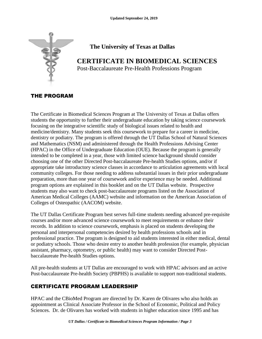

## **The University of Texas at Dallas**

## **CERTIFICATE IN BIOMEDICAL SCIENCES**

Post-Baccalaureate Pre-Health Professions Program

## THE PROGRAM

The Certificate in Biomedical Sciences Program at The University of Texas at Dallas offers students the opportunity to further their undergraduate education by taking science coursework focusing on the integrative scientific study of biological issues related to health and medicine/dentistry. Many students seek this coursework to prepare for a career in medicine, dentistry or podiatry. The program is offered through the UT Dallas School of Natural Sciences and Mathematics (NSM) and administered through the Health Professions Advising Center (HPAC) in the Office of Undergraduate Education (OUE). Because the program is generally intended to be completed in a year, those with limited science background should consider choosing one of the other Directed Post-baccalaureate Pre-health Studies options, and/or if appropriate take introductory science classes in accordance to articulation agreements with local community colleges. For those needing to address substantial issues in their prior undergraduate preparation, more than one year of coursework and/or experience may be needed. Additional program options are explained in this booklet and on the UT Dallas website. Prospective students may also want to check post-baccalaureate programs listed on the Association of American Medical Colleges (AAMC) website and information on the American Association of Colleges of Osteopathic (AACOM) website.

The UT Dallas Certificate Program best serves full-time students needing advanced pre-requisite courses and/or more advanced science coursework to meet requirements or enhance their records. In addition to science coursework, emphasis is placed on students developing the personal and interpersonal competencies desired by health professions schools and in professional practice. The program is designed to aid students interested in either medical, dental or podiatry schools. Those who desire entry to another health profession (for example, physician assistant, pharmacy, optometry, or public health) may want to consider Directed Postbaccalaureate Pre-health Studies options.

All pre-health students at UT Dallas are encouraged to work with HPAC advisors and an active Post-baccalaureate Pre-health Society (PBPHS) is available to support non-traditional students.

## CERTIFICATE PROGRAM LEADERSHIP

HPAC and the CBioMed Program are directed by Dr. Karen de Olivares who also holds an appointment as Clinical Associate Professor in the School of Economic, Political and Policy Sciences. Dr. de Olivares has worked with students in higher education since 1995 and has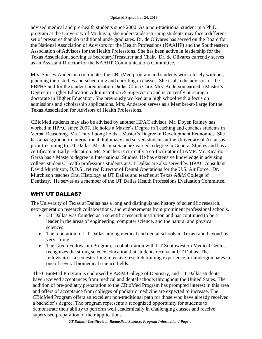advised medical and pre-health students since 2000. As a non-traditional student in a Ph.D. program at the University of Michigan, she understands returning students may face a different set of pressures than do traditional undergraduates. Dr. de Olivares has served on the Board for the National Association of Advisors for the Health Professions (NAAHP) and the Southeastern Association of Advisors for the Health Professions. She has been active in leadership for the Texas Association, serving as Secretary/Treasurer and Chair. Dr. de Olivares currently serves as an Assistant Director for the NAAHP Communications Committee.

Mrs. Shirley Anderson coordinates the CBioMed program and students work closely with her, planning their studies and scheduling and enrolling in classes. She is also the advisor for the PBPHS and for the student organization Dallas China Care. Mrs. Anderson earned a Master's Degree in Higher Education Administration & Supervision and is currently pursuing a doctorate in Higher Education. She previously worked at a high school with a focus on admissions and scholarship applications. Mrs. Anderson serves as a Member-at-Large for the Texas Association for Advisors of Health Professions.

CBioMed students may also be advised by another HPAC advisor. Mr. Doyen Rainey has worked in HPAC since 2007. He holds a Master's Degree in Teaching and coaches students in Verbal Reasoning. Ms. Thuy Luong holds a Master's Degree in Development Economics. She has a background in international diplomacy and served students at the University of Arkansas prior to coming to UT Dallas. Ms. Jeanna Sanchez earned a degree in General Studies and has a certificate in Early Education. Ms. Sanchez is currently a co-facilitator of JAMP. Mr. Ricardo Garza has a Master's degree in International Studies. He has extensive knowledge in advising college students. Health professions students at UT Dallas are also served by HPAC consultant David Murchison, D.D.S., retired Director of Dental Operations for the U.S. Air Force. Dr. Murchison teaches Oral Histology at UT Dallas and teaches at Texas A&M College of Dentistry. He serves as a member of the UT Dallas Health Professions Evaluation Committee.

## WHY UT DALLAS?

The University of Texas at Dallas has a long and distinguished history of scientific research, next-generation research collaborations, and endorsements from prominent professional schools.

- UT Dallas was founded as a scientific research institution and has continued to be a leader in the areas of engineering, computer science, and the natural and physical sciences.
- The reputation of UT Dallas among medical and dental schools in Texas (and beyond) is very strong.
- The Green Fellowship Program, a collaboration with UT Southwestern Medical Center, recognizes the strong science education that students receive at UT Dallas. The fellowship is a semester-long intensive research training experience for undergraduates in one of several biomedical science fields.

The CBioMed Program is endorsed by A&M College of Dentistry, and UT Dallas students have received acceptances from medical and dental schools throughout the United States. The addition of pre-podiatry preparation to the CBioMed Program has prompted interest in this area and offers of acceptance from colleges of podiatric medicine are expected to increase. The CBioMed Program offers an excellent non-traditional path for those who have already received a bachelor's degree. The program represents a recognized opportunity for students to demonstrate their ability to perform well academically in challenging classes and receive supervised preparation of their applications.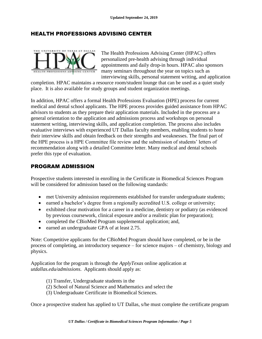## HEALTH PROFESSIONS ADVISING CENTER



The Health Professions Advising Center (HPAC) offers personalized pre-health advising through individual appointments and daily drop-in hours. HPAC also sponsors many seminars throughout the year on topics such as interviewing skills, personal statement writing, and application

completion. HPAC maintains a resource room/student lounge that can be used as a quiet study place. It is also available for study groups and student organization meetings.

In addition, HPAC offers a formal Health Professions Evaluation (HPE) process for current medical and dental school applicants. The HPE process provides guided assistance from HPAC advisors to students as they prepare their application materials. Included in the process are a general orientation to the application and admissions process and workshops on personal statement writing, interviewing skills, and application completion. The process also includes evaluative interviews with experienced UT Dallas faculty members, enabling students to hone their interview skills and obtain feedback on their strengths and weaknesses. The final part of the HPE process is a HPE Committee file review and the submission of students' letters of recommendation along with a detailed Committee letter. Many medical and dental schools prefer this type of evaluation.

### PROGRAM ADMISSION

Prospective students interested in enrolling in the Certificate in Biomedical Sciences Program will be considered for admission based on the following standards:

- met University admission requirements established for transfer undergraduate students;
- earned a bachelor's degree from a regionally accredited U.S. college or university;
- exhibited clear motivation for a career in a medicine, dentistry or podiatry (as evidenced by previous coursework, clinical exposure and/or a realistic plan for preparation);
- completed the CBioMed Program supplemental application; and,
- earned an undergraduate GPA of at least 2.75.

Note: Competitive applicants for the CBioMed Program should have completed, or be in the process of completing, an introductory sequence – for science majors – of chemistry, biology and physics.

Application for the program is through the *ApplyTexas* online application at *utdallas.edu/admissions*. Applicants should apply as:

- (1) Transfer, Undergraduate students in the
- (2) School of Natural Science and Mathematics and select the
- (3) Undergraduate Certificate in Biomedical Sciences.

Once a prospective student has applied to UT Dallas, s/he must complete the certificate program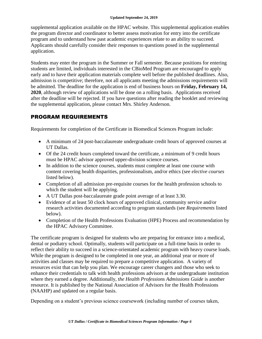supplemental application available on the HPAC website. This supplemental application enables the program director and coordinator to better assess motivation for entry into the certificate program and to understand how past academic experiences relate to an ability to succeed. Applicants should carefully consider their responses to questions posed in the supplemental application.

Students may enter the program in the Summer or Fall semester. Because positions for entering students are limited, individuals interested in the CBioMed Program are encouraged to apply early and to have their application materials complete well before the published deadlines. Also, admission is competitive; therefore, not all applicants meeting the admissions requirements will be admitted. The deadline for the application is end of business hours on **Friday, February 14, 2020**, although review of applications will be done on a rolling basis. Applications received after the deadline will be rejected. If you have questions after reading the booklet and reviewing the supplemental application, please contact Mrs. Shirley Anderson.

## PROGRAM REQUIREMENTS

Requirements for completion of the Certificate in Biomedical Sciences Program include:

- A minimum of 24 post-baccalaureate undergraduate credit hours of approved courses at UT Dallas.
- Of the 24 credit hours completed toward the certificate, a minimum of 9 credit hours must be HPAC advisor approved upper-division science courses.
- In addition to the science courses, students must complete at least one course with content covering health disparities, professionalism, and/or ethics (see *elective courses*  listed below).
- Completion of all admission pre-requisite courses for the health profession schools to which the student will be applying.
- A UT Dallas post-baccalaureate grade point average of at least 3.30.
- Evidence of at least 50 clock hours of approved clinical, community service and/or research activities documented according to program standards (see *Requirements* listed below).
- Completion of the Health Professions Evaluation (HPE) Process and recommendation by the HPAC Advisory Committee.

The certificate program is designed for students who are preparing for entrance into a medical, dental or podiatry school. Optimally, students will participate on a full-time basis in order to reflect their ability to succeed in a science-orientated academic program with heavy course loads. While the program is designed to be completed in one year, an additional year or more of activities and classes may be required to prepare a competitive application. A variety of resources exist that can help you plan. We encourage career changers and those who seek to enhance their credentials to talk with health professions advisors at the undergraduate institution where they earned a degree. Additionally, t*he Health Professions Admissions Guide* is another resource. It is published by the National Association of Advisors for the Health Professions (NAAHP) and updated on a regular basis.

Depending on a student's previous science coursework (including number of courses taken,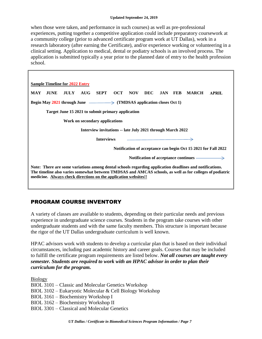when those were taken, and performance in such courses) as well as pre-professional experiences, putting together a competitive application could include preparatory coursework at a community college (prior to advanced certificate program work at UT Dallas), work in a research laboratory (after earning the Certificate), and/or experience working or volunteering in a clinical setting. Application to medical, dental or podiatry schools is an involved process. The application is submitted typically a year prior to the planned date of entry to the health profession school.

| <b>Sample Timeline for 2022 Entry</b>                                                                                                                                                                                                                                                  |  |  |  |
|----------------------------------------------------------------------------------------------------------------------------------------------------------------------------------------------------------------------------------------------------------------------------------------|--|--|--|
| JULY AUG SEPT OCT NOV<br>JUNE<br><b>MAY</b><br>DEC<br>JAN FEB<br><b>MARCH</b><br><b>APRIL</b>                                                                                                                                                                                          |  |  |  |
| Begin May 2021 through June $\longrightarrow$ (TMDSAS application closes Oct 1)                                                                                                                                                                                                        |  |  |  |
| Target June 15 2021 to submit primary application                                                                                                                                                                                                                                      |  |  |  |
| Work on secondary applications                                                                                                                                                                                                                                                         |  |  |  |
| Interview invitations -- late July 2021 through March 2022                                                                                                                                                                                                                             |  |  |  |
| <b>Interviews</b><br><u> 1989 - Johann Stein, mars ann an t-Amhainn an t-Amhainn an t-Amhainn an t-Amhainn an t-Amhainn an t-Amhainn a</u>                                                                                                                                             |  |  |  |
| Notification of acceptance can begin Oct 15 2021 for Fall 2022                                                                                                                                                                                                                         |  |  |  |
| Notification of acceptance continues $\longrightarrow$                                                                                                                                                                                                                                 |  |  |  |
| Note: There are some variations among dental schools regarding application deadlines and notifications.<br>The timeline also varies somewhat between TMDSAS and AMCAS schools, as well as for colleges of podiatric<br>medicine. Always check directions on the application websites!! |  |  |  |

## PROGRAM COURSE INVENTORY

A variety of classes are available to students, depending on their particular needs and previous experience in undergraduate science courses. Students in the program take courses with other undergraduate students and with the same faculty members. This structure is important because the rigor of the UT Dallas undergraduate curriculum is well known.

HPAC advisors work with students to develop a curricular plan that is based on their individual circumstances, including past academic history and career goals. Courses that may be included to fulfill the certificate program requirements are listed below. *Not all courses are taught every semester. Students are required to work with an HPAC advisor in order to plan their curriculum for the program.*

Biology BIOL 3101 – Classic and Molecular Genetics Workshop BIOL 3102 – Eukaryotic Molecular & Cell Biology Workshop BIOL 3161 – Biochemistry Workshop I BIOL 3162 – Biochemistry Workshop II BIOL 3301 – Classical and Molecular Genetics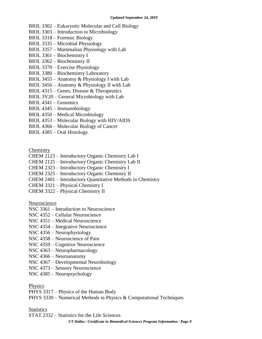- BIOL 3302 Eukaryotic Molecular and Cell Biology
- BIOL 3303 Introduction to Microbiology
- BIOL 3318 Forensic Biology
- BIOL 3335 Microbial Physiology
- BIOL 3357 Mammalian Physiology with Lab
- BIOL 3361 Biochemistry I
- BIOL 3362 Biochemistry II
- BIOL 3370 Exercise Physiology
- BIOL 3380 Biochemistry Laboratory
- BIOL 3455 Anatomy & Physiology I with Lab
- BIOL 3456 Anatomy & Physiology II with Lab
- BIOL 4315 Genes, Disease & Therapeutics
- BIOL 3V20 General Microbiology with Lab
- BIOL 4341 Genomics
- BIOL 4345 Immunobiology
- BIOL 4350 Medical Microbiology
- BIOL 4353 Molecular Biology with HIV/AIDS
- BIOL 4366 Molecular Biology of Cancer
- BIOL 4385 Oral Histology

**Chemistry** 

- CHEM 2123 Introductory Organic Chemistry Lab I
- CHEM 2125 Introductory Organic Chemistry Lab II
- CHEM 2323 Introductory Organic Chemistry I
- CHEM 2325 Introductory Organic Chemistry II
- CHEM 2401 Introductory Quantitative Methods in Chemistry
- CHEM 3321 Physical Chemistry I
- CHEM 3322 Physical Chemistry II

Neuroscience

- NSC 3361 Introduction to Neuroscience
- NSC 4352 Cellular Neuroscience
- NSC 4351 Medical Neuroscience
- NSC 4354 Integrative Neuroscience
- NSC 4356 Neurophysiology
- NSC 4358 Neuroscience of Pain
- NSC 4359 Cognitive Neuroscience
- NSC 4363 Neuropharmacology
- NSC 4366 Neuroanatomy
- NSC 4367 Developmental Neurobiology
- NSC 4373 Sensory Neuroscience
- NSC 4385 Neuropsychology

#### Physics

PHYS 3317 – Physics of the Human Body

PHYS 3330 – Numerical Methods in Physics & Computational Techniques

#### **Statistics**

STAT 2332 – Statistics for the Life Sciences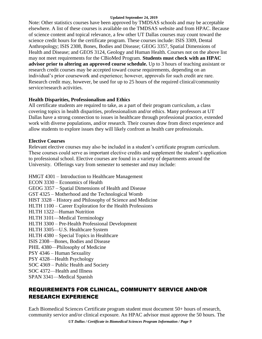Note: Other statistics courses have been approved by TMDSAS schools and may be acceptable elsewhere. A list of these courses is available on the TMDSAS website and from HPAC. Because of science content and topical relevance, a few other UT Dallas courses may count toward the science credit hours for the certificate program. These courses include: ISIS 3309, Dental Anthropology; ISIS 2308, Bones, Bodies and Disease; GEOG 3357, Spatial Dimensions of Health and Disease; and GEOS 3124, Geology and Human Health. Courses not on the above list may not meet requirements for the CBioMed Program. **Students must check with an HPAC advisor prior to altering an approved course schedule.** Up to 3 hours of teaching assistant or research credit courses may be accepted toward course requirements, depending on an individual's prior coursework and experience; however, approvals for such credit are rare. Research credit may, however, be used for up to 25 hours of the required clinical/community service/research activities.

#### **Health Disparities, Professionalism and Ethics**

All certificate students are required to take, as a part of their program curriculum, a class covering topics in health disparities, professionalism and/or ethics. Many professors at UT Dallas have a strong connection to issues in healthcare through professional practice, extended work with diverse populations, and/or research. Their courses draw from direct experience and allow students to explore issues they will likely confront as health care professionals.

#### **Elective Courses**

Relevant elective courses may also be included in a student's certificate program curriculum. These courses could serve as important elective credits and supplement the student's application to professional school. Elective courses are found in a variety of departments around the University. Offerings vary from semester to semester and may include:

HMGT 4301 – Introduction to Healthcare Management ECON 3330 – Economics of Health GEOG 3357 – Spatial Dimensions of Health and Disease GST 4325 – Motherhood and the Technological Womb HIST 3328 – History and Philosophy of Science and Medicine HLTH 1100 – Career Exploration for the Health Professions HLTH 1322—Human Nutrition HLTH 3101—Medical Terminology HLTH 3300 – Pre-Health Professional Development HLTH 3305—U.S. Healthcare System HLTH 4380 – Special Topics in Healthcare ISIS 2308—Bones, Bodies and Disease PHIL 4380—Philosophy of Medicine PSY 4346 – Human Sexuality PSY 4328—Health Psychology SOC 4369 – Public Health and Society SOC 4372—Health and Illness

SPAN 3341—Medical Spanish

## REQUIREMENTS FOR CLINICAL, COMMUNITY SERVICE AND/OR RESEARCH EXPERIENCE

Each Biomedical Sciences Certificate program student must document 50+ hours of research, community service and/or clinical exposure. An HPAC advisor must approve the 50 hours. The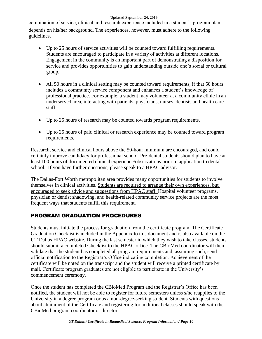combination of service, clinical and research experience included in a student's program plan depends on his/her background. The experiences, however, must adhere to the following guidelines.

- Up to 25 hours of service activities will be counted toward fulfilling requirements. Students are encouraged to participate in a variety of activities at different locations. Engagement in the community is an important part of demonstrating a disposition for service and provides opportunities to gain understanding outside one's social or cultural group.
- All 50 hours in a clinical setting may be counted toward requirements, if that 50 hours includes a community service component and enhances a student's knowledge of professional practice. For example, a student may volunteer at a community clinic in an underserved area, interacting with patients, physicians, nurses, dentists and health care staff.
- Up to 25 hours of research may be counted towards program requirements.
- Up to 25 hours of paid clinical or research experience may be counted toward program requirements.

Research, service and clinical hours above the 50-hour minimum are encouraged, and could certainly improve candidacy for professional school. Pre-dental students should plan to have at least 100 hours of documented clinical experience/observations prior to application to dental school. If you have further questions, please speak to a HPAC advisor.

The Dallas-Fort Worth metropolitan area provides many opportunities for students to involve themselves in clinical activities. Students are required to arrange their own experiences, but encouraged to seek advice and suggestions from HPAC staff. Hospital volunteer programs, physician or dentist shadowing, and health-related community service projects are the most frequent ways that students fulfill this requirement.

## PROGRAM GRADUATION PROCEDURES

Students must initiate the process for graduation from the certificate program. The Certificate Graduation Checklist is included in the Appendix to this document and is also available on the UT Dallas HPAC website. During the last semester in which they wish to take classes, students should submit a completed Checklist to the HPAC office. The CBioMed coordinator will then validate that the student has completed all program requirements and, assuming such, send official notification to the Registrar's Office indicating completion. Achievement of the certificate will be noted on the transcript and the student will receive a printed certificate by mail. Certificate program graduates are not eligible to participate in the University's commencement ceremony.

Once the student has completed the CBioMed Program and the Registrar's Office has been notified, the student will not be able to register for future semesters unless s/he reapplies to the University in a degree program or as a non-degree-seeking student. Students with questions about attainment of the Certificate and registering for additional classes should speak with the CBioMed program coordinator or director.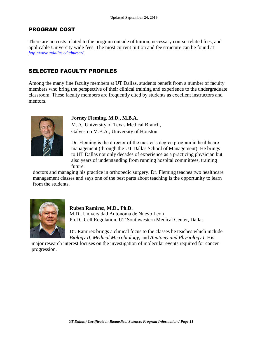### PROGRAM COST

There are no costs related to the program outside of tuition, necessary course-related fees, and applicable University wide fees. The most current tuition and fee structure can be found at *<http://www.utdallas.edu/bursar/>*

## SELECTED FACULTY PROFILES

Among the many fine faculty members at UT Dallas, students benefit from a number of faculty members who bring the perspective of their clinical training and experience to the undergraduate classroom. These faculty members are frequently cited by students as excellent instructors and mentors.



#### F**orney Fleming, M.D., M.B.A.**

M.D., University of Texas Medical Branch, Galveston M.B.A., University of Houston

Dr. Fleming is the director of the master's degree program in healthcare management (through the UT Dallas School of Management). He brings to UT Dallas not only decades of experience as a practicing physician but also years of understanding from running hospital committees, training future

doctors and managing his practice in orthopedic surgery. Dr. Fleming teaches two healthcare management classes and says one of the best parts about teaching is the opportunity to learn from the students.



#### **Ruben Ramirez, M.D., Ph.D.**

M.D., Universidad Autonoma de Nuevo Leon Ph.D., Cell Regulation, UT Southwestern Medical Center, Dallas

Dr. Ramirez brings a clinical focus to the classes he teaches which include *Biology II*, *Medical Microbiology*, and *Anatomy and Physiology I*. His

major research interest focuses on the investigation of molecular events required for cancer progression.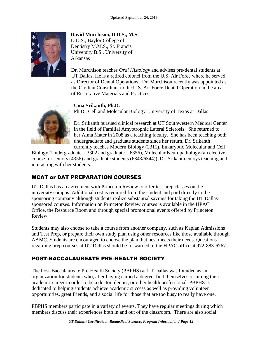

**David Murchison, D.D.S., M.S.**  D.D.S., Baylor College of Dentistry M.M.S., St. Francis University B.S., University of Arkansas

Dr. Murchison teaches *Oral Histology* and advises pre-dental students at UT Dallas. He is a retired colonel from the U.S. Air Force where he served as Director of Dental Operations. Dr. Murchison recently was appointed as the Civilian Consultant to the U.S. Air Force Dental Operation in the area of Restorative Materials and Practices.

### **Uma Srikanth, Ph.D.**

Ph.D., Cell and Molecular Biology, University of Texas at Dallas

Dr. Srikanth pursued clinical research at UT Southwestern Medical Center in the field of Familial Amyotrophic Lateral Sclerosis. She returned to her Alma Mater in 2008 as a teaching faculty. She has been teaching both undergraduate and graduate students since her return. Dr. Srikanth currently teaches Modern Biology (2311), Eukaryotic Molecular and Cell

Biology (Undergraduate  $-3302$  and graduate  $-6356$ ), Molecular Neuropathology (an elective course for seniors (4356) and graduate students (6343/6344)). Dr. Srikanth enjoys teaching and interacting with her students.

## MCAT or DAT PREPARATION COURSES

UT Dallas has an agreement with Princeton Review to offer test prep classes on the university campus. Additional cost is required from the student and paid directly to the sponsoring company although students realize substantial savings for taking the UT Dallassponsored courses. Information on Princeton Review courses is available in the HPAC Office, the Resource Room and through special promotional events offered by Princeton Review.

Students may also choose to take a course from another company, such as Kaplan Admissions and Test Prep, or prepare their own study plan using other resources like those available through AAMC. Students are encouraged to choose the plan that best meets their needs. Questions regarding prep courses at UT Dallas should be forwarded to the HPAC office at 972-883-6767.

## POST-BACCALAUREATE PRE-HEALTH SOCIETY

The Post-Baccalaureate Pre-Health Society (PBPHS) at UT Dallas was founded as an organization for students who, after having earned a degree, find themselves resuming their academic career in order to be a doctor, dentist, or other health professional. PBPHS is dedicated to helping students achieve academic success as well as providing volunteer opportunities, great friends, and a social life for those that are too busy to really have one.

PBPHS members participate in a variety of events. They have regular meetings during which members discuss their experiences both in and out of the classroom. There are also social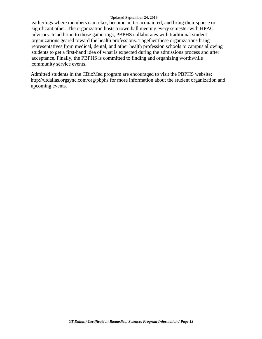gatherings where members can relax, become better acquainted, and bring their spouse or significant other. The organization hosts a town hall meeting every semester with HPAC advisors. In addition to those gatherings, PBPHS collaborates with traditional student organizations geared toward the health professions. Together these organizations bring representatives from medical, dental, and other health profession schools to campus allowing students to get a first-hand idea of what is expected during the admissions process and after acceptance. Finally, the PBPHS is committed to finding and organizing worthwhile community service events.

Admitted students in the CBioMed program are encouraged to visit the PBPHS website: <http://utdallas.orgsync.com/org/pbphs> for more information about the student organization and upcoming events.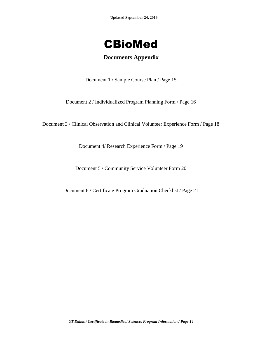

## **Documents Appendix**

Document 1 / Sample Course Plan / Page 15

Document 2 / Individualized Program Planning Form / Page 16

Document 3 / Clinical Observation and Clinical Volunteer Experience Form / Page 18

Document 4/ Research Experience Form / Page 19

Document 5 / Community Service Volunteer Form 20

Document 6 / Certificate Program Graduation Checklist / Page 21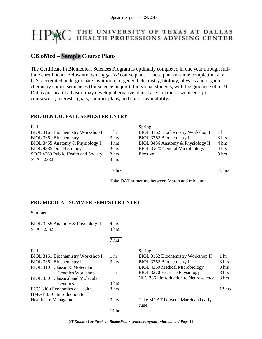## THE UNIVERSITY OF TEXAS AT DALLAS<br>HEALTH PROFESSIONS ADVISING CENTER

## **CBioMed – Sample Course Plans**

The Certificate in Biomedical Sciences Program is optimally completed in one year through fulltime enrollment. Below are two *suggested* course plans. These plans assume completion, at a U.S. accredited undergraduate institution, of general chemistry, biology, physics and organic chemistry course sequences (for science majors). Individual students, with the guidance of a UT Dallas pre-health advisor, may develop alternative plans based on their own needs, prior coursework, interests, goals, summer plans, and course availability.

#### **PRE-DENTAL FALL SEMESTER ENTRY**

| <b>Fall</b>                         |                 | Spring                                |          |
|-------------------------------------|-----------------|---------------------------------------|----------|
| BIOL 3161 Biochemistry Workshop I   | 1 <sub>hr</sub> | BIOL 3162 Biochemistry Workshop II    | 1 hr     |
| BIOL 3361 Biochemistry I            | 3 hrs           | BIOL 3362 Biochemistry II             | 3 hrs    |
| BIOL 3455 Anatomy & Physiology I    | 4 hrs           | BIOL 3456 Anatomy & Physiology II     | 4 hrs    |
| BIOL 4385 Oral Histology            | 3 hrs           | <b>BIOL 3V20 General Microbiology</b> | 4 hrs    |
| SOCI 4369 Public Health and Society | 3 hrs           | Elective                              | 3 hrs    |
| <b>STAT 2332</b>                    | 3 hrs           |                                       |          |
|                                     |                 |                                       |          |
|                                     | $17$ hrs        |                                       | $15$ hrs |

Take DAT sometime between March and mid-June

### **PRE-MEDICAL SUMMER SEMESTER ENTRY**

#### **Summer**

| BIOL 3455 Anatomy & Physiology I         | 4 hrs           |                                       |                  |
|------------------------------------------|-----------------|---------------------------------------|------------------|
| <b>STAT 2332</b>                         | 3 hrs           |                                       |                  |
|                                          | 7 hrs           |                                       |                  |
| Fall                                     |                 | Spring                                |                  |
| BIOL 3161 Biochemistry Workshop I        | 1 <sub>hr</sub> | BIOL 3162 Biochemistry Workshop II    | 1 <sub>hr</sub>  |
| BIOL 3361 Biochemistry I                 | 3 hrs           | BIOL 3362 Biochemistry II             | 3 hrs            |
| BIOL 3101 Classic & Molecular            |                 | <b>BIOL 4350 Medical Microbiology</b> | 3 hrs            |
| Genetics Workshop                        | 1 <sub>hr</sub> | <b>BIOL 3370 Exercise Physiology</b>  | 3 hrs            |
| <b>BIOL 3301 Classical and Molecular</b> |                 | NSC 3361 Introduction to Neuroscience | $3 \text{ hrs}$  |
| <b>Genetics</b>                          | 3 hrs           |                                       |                  |
| ECO 3300 Economics of Health             | $3 \text{ hrs}$ |                                       | $13 \text{ hrs}$ |
| HMGT 3301 Introduction to                |                 |                                       |                  |
| <b>Healthcare Management</b>             | 3 hrs           | Take MCAT between March and early-    |                  |
|                                          |                 | June                                  |                  |
|                                          | 14 hrs          |                                       |                  |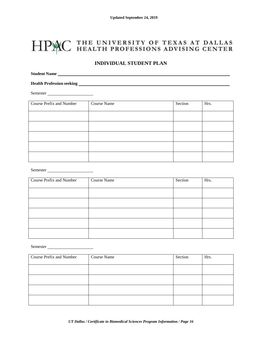## HPAC THE UNIVERSITY OF TEXAS AT DALLAS

#### **INDIVIDUAL STUDENT PLAN**

**Student Name**

**Health Profession seeking** 

Semester

| Course Prefix and Number | Course Name | Section | Hrs. |
|--------------------------|-------------|---------|------|
|                          |             |         |      |
|                          |             |         |      |
|                          |             |         |      |
|                          |             |         |      |
|                          |             |         |      |

Semester

| Course Prefix and Number | Course Name | Section | Hrs. |
|--------------------------|-------------|---------|------|
|                          |             |         |      |
|                          |             |         |      |
|                          |             |         |      |
|                          |             |         |      |
|                          |             |         |      |

Semester

| Course Prefix and Number | Course Name | Section | Hrs. |
|--------------------------|-------------|---------|------|
|                          |             |         |      |
|                          |             |         |      |
|                          |             |         |      |
|                          |             |         |      |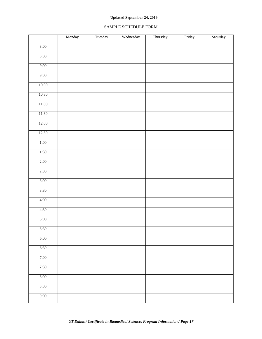#### SAMPLE SCHEDULE FORM

|        | Monday | Tuesday | Wednesday | Thursday | Friday | Saturday |
|--------|--------|---------|-----------|----------|--------|----------|
| 8:00   |        |         |           |          |        |          |
| 8:30   |        |         |           |          |        |          |
| 9:00   |        |         |           |          |        |          |
| 9:30   |        |         |           |          |        |          |
| 10:00  |        |         |           |          |        |          |
| 10:30  |        |         |           |          |        |          |
| 11:00  |        |         |           |          |        |          |
| 11:30  |        |         |           |          |        |          |
| 12:00  |        |         |           |          |        |          |
| 12:30  |        |         |           |          |        |          |
| 1:00   |        |         |           |          |        |          |
| 1:30   |        |         |           |          |        |          |
| 2:00   |        |         |           |          |        |          |
| 2:30   |        |         |           |          |        |          |
| $3:00$ |        |         |           |          |        |          |
| 3:30   |        |         |           |          |        |          |
| 4:00   |        |         |           |          |        |          |
| 4:30   |        |         |           |          |        |          |
| 5:00   |        |         |           |          |        |          |
| 5:30   |        |         |           |          |        |          |
| 6:00   |        |         |           |          |        |          |
| 6:30   |        |         |           |          |        |          |
| 7:00   |        |         |           |          |        |          |
| 7:30   |        |         |           |          |        |          |
| 8:00   |        |         |           |          |        |          |
| 8:30   |        |         |           |          |        |          |
| 9:00   |        |         |           |          |        |          |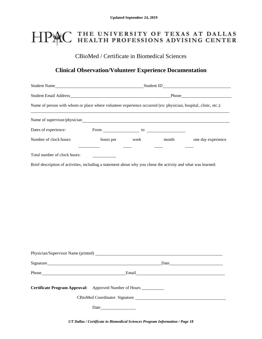## HPAC THE UNIVERSITY OF TEXAS AT DALLAS<br>HEALTH PROFESSIONS ADVISING CENTER

CBioMed / Certificate in Biomedical Sciences

## **Clinical Observation/Volunteer Experience Documentation**

| Student Name                                                                                                                                                                                                                           | Student ID_                |  |  | <u> 1980 - Johann Barn, mars ann an t-Aonaich an t-Aonaich an t-Aonaich an t-Aonaich an t-Aonaich ann an t-Aonaich</u> |
|----------------------------------------------------------------------------------------------------------------------------------------------------------------------------------------------------------------------------------------|----------------------------|--|--|------------------------------------------------------------------------------------------------------------------------|
|                                                                                                                                                                                                                                        |                            |  |  |                                                                                                                        |
| Name of person with whom or place where volunteer experience occurred (ex: physician, hospital, clinic, etc.):<br><u> 1989 - John Stone Barnett, skriuwer in de Fryske kampen in de ferske kampen in de ferske kampen in de ferske</u> |                            |  |  |                                                                                                                        |
| Name of supervisor/physician contains a state of supervisor of supervisor and state of supervisor $\frac{1}{2}$                                                                                                                        |                            |  |  |                                                                                                                        |
| Dates of experience:                                                                                                                                                                                                                   |                            |  |  |                                                                                                                        |
| Number of clock hours:                                                                                                                                                                                                                 |                            |  |  | hours per week month one day experience                                                                                |
| Total number of clock hours:                                                                                                                                                                                                           |                            |  |  |                                                                                                                        |
| Brief description of activities, including a statement about why you chose the activity and what was learned:                                                                                                                          |                            |  |  |                                                                                                                        |
|                                                                                                                                                                                                                                        |                            |  |  |                                                                                                                        |
|                                                                                                                                                                                                                                        |                            |  |  |                                                                                                                        |
|                                                                                                                                                                                                                                        |                            |  |  |                                                                                                                        |
|                                                                                                                                                                                                                                        |                            |  |  |                                                                                                                        |
|                                                                                                                                                                                                                                        |                            |  |  |                                                                                                                        |
|                                                                                                                                                                                                                                        |                            |  |  |                                                                                                                        |
|                                                                                                                                                                                                                                        |                            |  |  |                                                                                                                        |
|                                                                                                                                                                                                                                        |                            |  |  |                                                                                                                        |
|                                                                                                                                                                                                                                        |                            |  |  |                                                                                                                        |
|                                                                                                                                                                                                                                        |                            |  |  |                                                                                                                        |
| Signature Date Date Date                                                                                                                                                                                                               |                            |  |  |                                                                                                                        |
| Phone Email Email Email Email Email Email Email Email Email Email Allen Contract and Allen Contract and Allen Contract and Allen Contract and Allen Contract and Allen Contract and Allen Contract and Allen Contract and Alle         |                            |  |  |                                                                                                                        |
| <b>Certificate Program Approval:</b>                                                                                                                                                                                                   | Approved Number of Hours _ |  |  |                                                                                                                        |
|                                                                                                                                                                                                                                        |                            |  |  |                                                                                                                        |
|                                                                                                                                                                                                                                        |                            |  |  |                                                                                                                        |

*UT Dallas / Certificate in Biomedical Sciences Program Information / Page 18*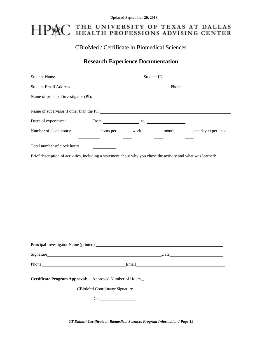## PAC THE UNIVERSITY OF TEXAS AT DALLAS<br>PAC HEALTH PROFESSIONS ADVISING CENTER H

## CBioMed / Certificate in Biomedical Sciences

## **Research Experience Documentation**

| Student Email Address Phone Phone Phone Phone Phone Phone Phone Phone Phone Phone Phone Phone Phone Phone Phone Phone Phone Phone Phone Phone Phone Phone Phone Phone Phone Phone Phone Phone Phone Phone Phone Phone Phone Ph |  |                                                |                                         |                                         |
|--------------------------------------------------------------------------------------------------------------------------------------------------------------------------------------------------------------------------------|--|------------------------------------------------|-----------------------------------------|-----------------------------------------|
| Name of principal investigator (PI):                                                                                                                                                                                           |  |                                                |                                         |                                         |
|                                                                                                                                                                                                                                |  |                                                |                                         |                                         |
| Dates of experience:                                                                                                                                                                                                           |  |                                                | From $\qquad \qquad$ to $\qquad \qquad$ |                                         |
| Number of clock hours:                                                                                                                                                                                                         |  | <u>and the state of the state of the state</u> |                                         | hours per week month one day experience |
| Total number of clock hours:                                                                                                                                                                                                   |  |                                                |                                         |                                         |
| Brief description of activities, including a statement about why you chose the activity and what was learned:                                                                                                                  |  |                                                |                                         |                                         |
|                                                                                                                                                                                                                                |  |                                                |                                         |                                         |
|                                                                                                                                                                                                                                |  |                                                |                                         |                                         |
|                                                                                                                                                                                                                                |  |                                                |                                         |                                         |
|                                                                                                                                                                                                                                |  |                                                |                                         |                                         |
|                                                                                                                                                                                                                                |  |                                                |                                         |                                         |
|                                                                                                                                                                                                                                |  |                                                |                                         |                                         |
|                                                                                                                                                                                                                                |  |                                                |                                         |                                         |
|                                                                                                                                                                                                                                |  |                                                |                                         |                                         |
|                                                                                                                                                                                                                                |  |                                                |                                         |                                         |
| Signature Date Date Date                                                                                                                                                                                                       |  |                                                |                                         |                                         |
|                                                                                                                                                                                                                                |  |                                                |                                         |                                         |

| Approved Number of Hours |
|--------------------------|
|                          |

CBioMed Coordinator Signature

Date

*UT Dallas / Certificate in Biomedical Sciences Program Information / Page 19*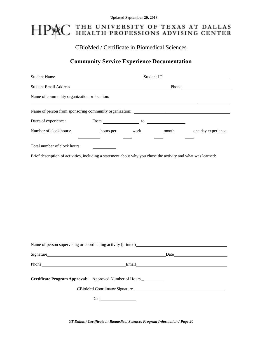## HPAC THE UNIVERSITY OF TEXAS AT DALLAS<br>HPAC HEALTH PROFESSIONS ADVISING CENTER

## CBioMed / Certificate in Biomedical Sciences

## **Community Service Experience Documentation**

| Name of community organization or location:                                                                   |                               |                                                                                                                                                                                                                                      |                                         |                                         |
|---------------------------------------------------------------------------------------------------------------|-------------------------------|--------------------------------------------------------------------------------------------------------------------------------------------------------------------------------------------------------------------------------------|-----------------------------------------|-----------------------------------------|
|                                                                                                               |                               |                                                                                                                                                                                                                                      |                                         |                                         |
| Dates of experience:                                                                                          |                               |                                                                                                                                                                                                                                      | From $\qquad \qquad$ to $\qquad \qquad$ |                                         |
| Number of clock hours:                                                                                        |                               | <u>and the company of the company of the company of the company of the company of the company of the company of the company of the company of the company of the company of the company of the company of the company of the com</u> |                                         | hours per week month one day experience |
| Total number of clock hours:                                                                                  |                               |                                                                                                                                                                                                                                      |                                         |                                         |
| Brief description of activities, including a statement about why you chose the activity and what was learned: |                               |                                                                                                                                                                                                                                      |                                         |                                         |
|                                                                                                               |                               |                                                                                                                                                                                                                                      |                                         |                                         |
|                                                                                                               |                               |                                                                                                                                                                                                                                      |                                         |                                         |
|                                                                                                               |                               |                                                                                                                                                                                                                                      |                                         |                                         |
|                                                                                                               |                               |                                                                                                                                                                                                                                      |                                         |                                         |
|                                                                                                               |                               |                                                                                                                                                                                                                                      |                                         |                                         |
|                                                                                                               |                               |                                                                                                                                                                                                                                      |                                         |                                         |
|                                                                                                               |                               |                                                                                                                                                                                                                                      |                                         |                                         |
|                                                                                                               |                               |                                                                                                                                                                                                                                      |                                         |                                         |
|                                                                                                               |                               |                                                                                                                                                                                                                                      |                                         |                                         |
|                                                                                                               |                               |                                                                                                                                                                                                                                      |                                         |                                         |
|                                                                                                               |                               |                                                                                                                                                                                                                                      |                                         |                                         |
| Signature                                                                                                     |                               |                                                                                                                                                                                                                                      |                                         |                                         |
| Phone                                                                                                         |                               | Email                                                                                                                                                                                                                                |                                         |                                         |
|                                                                                                               |                               |                                                                                                                                                                                                                                      |                                         |                                         |
| Certificate Program Approval: Approved Number of Hours __________                                             |                               |                                                                                                                                                                                                                                      |                                         |                                         |
|                                                                                                               | CBioMed Coordinator Signature |                                                                                                                                                                                                                                      |                                         |                                         |
|                                                                                                               |                               |                                                                                                                                                                                                                                      |                                         |                                         |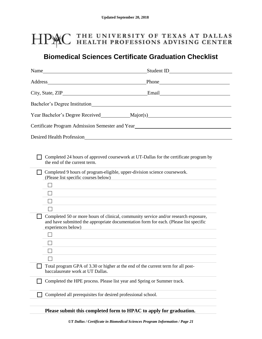## HPMC THE UNIVERSITY OF TEXAS AT DALLAS

## **Biomedical Sciences Certificate Graduation Checklist**

| Name                                                                                                                                                                    |                                                                                                                                                                                                                                                                                                                                                                                                                                                                                                                                                                                                                                        |
|-------------------------------------------------------------------------------------------------------------------------------------------------------------------------|----------------------------------------------------------------------------------------------------------------------------------------------------------------------------------------------------------------------------------------------------------------------------------------------------------------------------------------------------------------------------------------------------------------------------------------------------------------------------------------------------------------------------------------------------------------------------------------------------------------------------------------|
|                                                                                                                                                                         | Address Phone Phone Phone Phone Phone Phone Phone Phone Phone Phone Phone Phone Phone Phone Phone Phone Phone Phone Phone Phone Phone Phone Phone Phone Phone Phone Phone Phone Phone Phone Phone Phone Phone Phone Phone Phon                                                                                                                                                                                                                                                                                                                                                                                                         |
|                                                                                                                                                                         | City, State, ZIP City, State, ZIP City, State, ZIP City, State, ZIP City, State, ZIP City, State, ZIP City, State, ZIP City, State, ZIP City, State, ZIP City, State, ZIP City, State, ZIP City, State, ZIP City, State, ZIP C                                                                                                                                                                                                                                                                                                                                                                                                         |
|                                                                                                                                                                         |                                                                                                                                                                                                                                                                                                                                                                                                                                                                                                                                                                                                                                        |
|                                                                                                                                                                         |                                                                                                                                                                                                                                                                                                                                                                                                                                                                                                                                                                                                                                        |
|                                                                                                                                                                         |                                                                                                                                                                                                                                                                                                                                                                                                                                                                                                                                                                                                                                        |
|                                                                                                                                                                         |                                                                                                                                                                                                                                                                                                                                                                                                                                                                                                                                                                                                                                        |
| the end of the current term.<br>Completed 9 hours of program-eligible, upper-division science coursework.<br>(Please list specific courses below)<br>experiences below) | Completed 24 hours of approved coursework at UT-Dallas for the certificate program by<br>and the control of the control of the control of the control of the control of the control of the control of the<br>and the control of the control of the control of the control of the control of the control of the control of the<br>Completed 50 or more hours of clinical, community service and/or research exposure,<br>and have submitted the appropriate documentation form for each. (Please list specific<br><u> 1980 - Andrea Station Barbara, actor a component de la componentación de la componentación de la componentaci</u> |
| Total program GPA of 3.30 or higher at the end of the current term for all post-<br>baccalaureate work at UT Dallas.                                                    |                                                                                                                                                                                                                                                                                                                                                                                                                                                                                                                                                                                                                                        |
| Completed the HPE process. Please list year and Spring or Summer track.                                                                                                 |                                                                                                                                                                                                                                                                                                                                                                                                                                                                                                                                                                                                                                        |
| Completed all prerequisites for desired professional school.                                                                                                            |                                                                                                                                                                                                                                                                                                                                                                                                                                                                                                                                                                                                                                        |

**Please submit this completed form to HPAC to apply for graduation.**